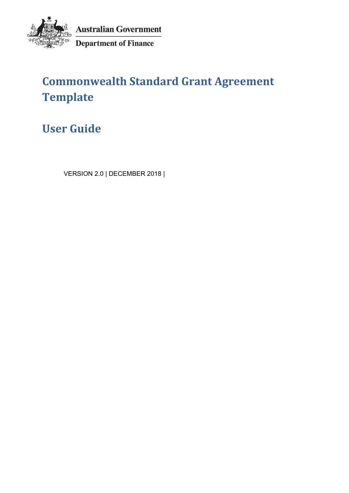

**Australian Government** Department of Finance

# **Commonwealth Standard Grant Agreement Template**

**User Guide**

VERSION 2.0 | DECEMBER 2018 |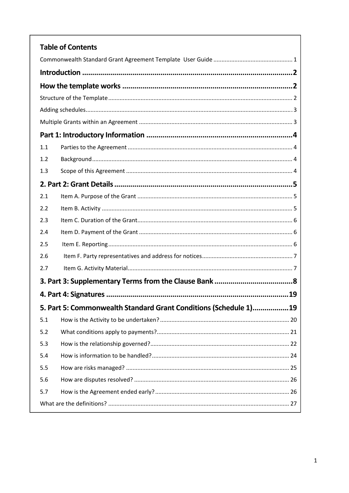| <b>Table of Contents</b>                                         |  |
|------------------------------------------------------------------|--|
|                                                                  |  |
|                                                                  |  |
|                                                                  |  |
|                                                                  |  |
|                                                                  |  |
|                                                                  |  |
|                                                                  |  |
| 1.1                                                              |  |
| 1.2                                                              |  |
| 1.3                                                              |  |
|                                                                  |  |
| 2.1                                                              |  |
| 2.2                                                              |  |
| 2.3                                                              |  |
| 2.4                                                              |  |
| 2.5                                                              |  |
| 2.6                                                              |  |
| 2.7                                                              |  |
|                                                                  |  |
|                                                                  |  |
| 5. Part 5: Commonwealth Standard Grant Conditions (Schedule 1)19 |  |
| 5.1                                                              |  |
| 5.2                                                              |  |
| 5.3                                                              |  |
| 5.4                                                              |  |
| 5.5                                                              |  |
| 5.6                                                              |  |
| 5.7                                                              |  |
|                                                                  |  |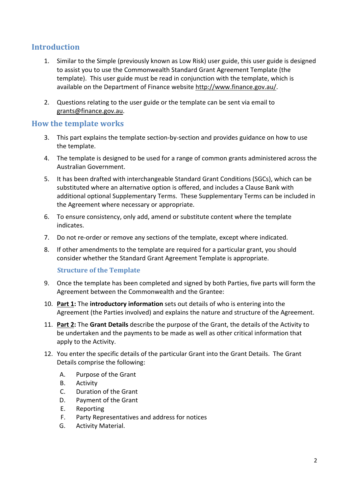# **Introduction**

- 1. Similar to the Simple (previously known as Low Risk) user guide, this user guide is designed to assist you to use the Commonwealth Standard Grant Agreement Template (the template). This user guide must be read in conjunction with the template, which is available on the Department of Finance website http://www.finance.gov.au/.
- 2. Questions relating to the user guide or the template can be sent via email to grants@finance.gov.au.

# **How the template works**

- 3. This part explains the template section‐by‐section and provides guidance on how to use the template.
- 4. The template is designed to be used for a range of common grants administered across the Australian Government.
- 5. It has been drafted with interchangeable Standard Grant Conditions (SGCs), which can be substituted where an alternative option is offered, and includes a Clause Bank with additional optional Supplementary Terms. These Supplementary Terms can be included in the Agreement where necessary or appropriate.
- 6. To ensure consistency, only add, amend or substitute content where the template indicates.
- 7. Do not re-order or remove any sections of the template, except where indicated.
- 8. If other amendments to the template are required for a particular grant, you should consider whether the Standard Grant Agreement Template is appropriate.

#### **Structure of the Template**

- 9. Once the template has been completed and signed by both Parties, five parts will form the Agreement between the Commonwealth and the Grantee:
- 10. **Part 1:** The **introductory information** sets out details of who is entering into the Agreement (the Parties involved) and explains the nature and structure of the Agreement.
- 11. **Part 2:** The **Grant Details** describe the purpose of the Grant, the details of the Activity to be undertaken and the payments to be made as well as other critical information that apply to the Activity.
- 12. You enter the specific details of the particular Grant into the Grant Details. The Grant Details comprise the following:
	- A. Purpose of the Grant
	- B. Activity
	- C. Duration of the Grant
	- D. Payment of the Grant
	- E. Reporting
	- F. Party Representatives and address for notices
	- G. Activity Material.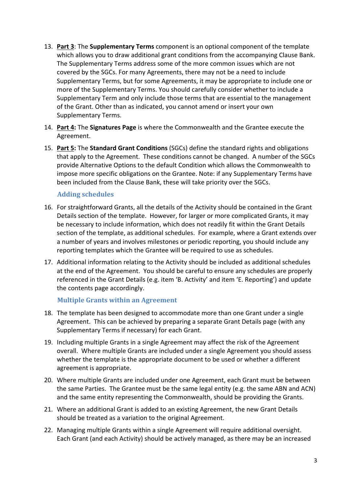- 13. **Part 3**: The **Supplementary Terms** component is an optional component of the template which allows you to draw additional grant conditions from the accompanying Clause Bank. The Supplementary Terms address some of the more common issues which are not covered by the SGCs. For many Agreements, there may not be a need to include Supplementary Terms, but for some Agreements, it may be appropriate to include one or more of the Supplementary Terms. You should carefully consider whether to include a Supplementary Term and only include those terms that are essential to the management of the Grant. Other than as indicated, you cannot amend or insert your own Supplementary Terms.
- 14. **Part 4:** The **Signatures Page** is where the Commonwealth and the Grantee execute the Agreement.
- 15. **Part 5:** The **Standard Grant Conditions** (SGCs) define the standard rights and obligations that apply to the Agreement. These conditions cannot be changed. A number of the SGCs provide Alternative Options to the default Condition which allows the Commonwealth to impose more specific obligations on the Grantee. Note: if any Supplementary Terms have been included from the Clause Bank, these will take priority over the SGCs.

## **Adding schedules**

- 16. For straightforward Grants, all the details of the Activity should be contained in the Grant Details section of the template. However, for larger or more complicated Grants, it may be necessary to include information, which does not readily fit within the Grant Details section of the template, as additional schedules. For example, where a Grant extends over a number of years and involves milestones or periodic reporting, you should include any reporting templates which the Grantee will be required to use as schedules.
- 17. Additional information relating to the Activity should be included as additional schedules at the end of the Agreement. You should be careful to ensure any schedules are properly referenced in the Grant Details (e.g. item 'B. Activity' and item 'E. Reporting') and update the contents page accordingly.

#### **Multiple Grants within an Agreement**

- 18. The template has been designed to accommodate more than one Grant under a single Agreement. This can be achieved by preparing a separate Grant Details page (with any Supplementary Terms if necessary) for each Grant.
- 19. Including multiple Grants in a single Agreement may affect the risk of the Agreement overall. Where multiple Grants are included under a single Agreement you should assess whether the template is the appropriate document to be used or whether a different agreement is appropriate.
- 20. Where multiple Grants are included under one Agreement, each Grant must be between the same Parties. The Grantee must be the same legal entity (e.g. the same ABN and ACN) and the same entity representing the Commonwealth, should be providing the Grants.
- 21. Where an additional Grant is added to an existing Agreement, the new Grant Details should be treated as a variation to the original Agreement.
- 22. Managing multiple Grants within a single Agreement will require additional oversight. Each Grant (and each Activity) should be actively managed, as there may be an increased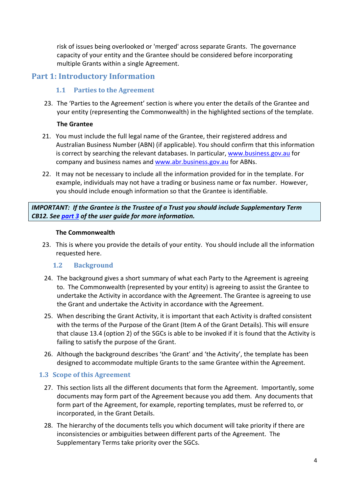risk of issues being overlooked or 'merged' across separate Grants. The governance capacity of your entity and the Grantee should be considered before incorporating multiple Grants within a single Agreement.

# **Part 1: Introductory Information**

## **1.1 Parties to the Agreement**

23. The 'Parties to the Agreement' section is where you enter the details of the Grantee and your entity (representing the Commonwealth) in the highlighted sections of the template.

#### **The Grantee**

- 21. You must include the full legal name of the Grantee, their registered address and Australian Business Number (ABN) (if applicable). You should confirm that this information is correct by searching the relevant databases. In particular, www.business.gov.au for company and business names and www.abr.business.gov.au for ABNs.
- 22. It may not be necessary to include all the information provided for in the template. For example, individuals may not have a trading or business name or fax number. However, you should include enough information so that the Grantee is identifiable.

*IMPORTANT: If the Grantee is the Trustee of a Trust you should include Supplementary Term CB12. See part 3 of the user guide for more information.* 

#### **The Commonwealth**

23. This is where you provide the details of your entity. You should include all the information requested here.

#### 1.2 **Background**

- 24. The background gives a short summary of what each Party to the Agreement is agreeing to. The Commonwealth (represented by your entity) is agreeing to assist the Grantee to undertake the Activity in accordance with the Agreement. The Grantee is agreeing to use the Grant and undertake the Activity in accordance with the Agreement.
- 25. When describing the Grant Activity, it is important that each Activity is drafted consistent with the terms of the Purpose of the Grant (Item A of the Grant Details). This will ensure that clause 13.4 (option 2) of the SGCs is able to be invoked if it is found that the Activity is failing to satisfy the purpose of the Grant.
- 26. Although the background describes 'the Grant' and 'the Activity', the template has been designed to accommodate multiple Grants to the same Grantee within the Agreement.

#### **1.3 Scope of this Agreement**

- 27. This section lists all the different documents that form the Agreement. Importantly, some documents may form part of the Agreement because you add them. Any documents that form part of the Agreement, for example, reporting templates, must be referred to, or incorporated, in the Grant Details.
- 28. The hierarchy of the documents tells you which document will take priority if there are inconsistencies or ambiguities between different parts of the Agreement. The Supplementary Terms take priority over the SGCs.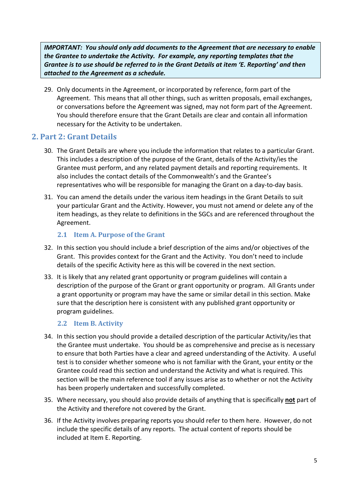*IMPORTANT: You should only add documents to the Agreement that are necessary to enable the Grantee to undertake the Activity. For example, any reporting templates that the Grantee is to use should be referred to in the Grant Details at item 'E. Reporting' and then attached to the Agreement as a schedule.*

29. Only documents in the Agreement, or incorporated by reference, form part of the Agreement. This means that all other things, such as written proposals, email exchanges, or conversations before the Agreement was signed, may not form part of the Agreement. You should therefore ensure that the Grant Details are clear and contain all information necessary for the Activity to be undertaken.

# **2. Part 2: Grant Details**

- 30. The Grant Details are where you include the information that relates to a particular Grant. This includes a description of the purpose of the Grant, details of the Activity/ies the Grantee must perform, and any related payment details and reporting requirements. It also includes the contact details of the Commonwealth's and the Grantee's representatives who will be responsible for managing the Grant on a day‐to‐day basis.
- 31. You can amend the details under the various item headings in the Grant Details to suit your particular Grant and the Activity. However, you must not amend or delete any of the item headings, as they relate to definitions in the SGCs and are referenced throughout the Agreement.

#### **2.1 Item A. Purpose of the Grant**

- 32. In this section you should include a brief description of the aims and/or objectives of the Grant. This provides context for the Grant and the Activity. You don't need to include details of the specific Activity here as this will be covered in the next section.
- 33. It is likely that any related grant opportunity or program guidelines will contain a description of the purpose of the Grant or grant opportunity or program. All Grants under a grant opportunity or program may have the same or similar detail in this section. Make sure that the description here is consistent with any published grant opportunity or program guidelines.

#### **2.2 Item B. Activity**

- 34. In this section you should provide a detailed description of the particular Activity/ies that the Grantee must undertake. You should be as comprehensive and precise as is necessary to ensure that both Parties have a clear and agreed understanding of the Activity. A useful test is to consider whether someone who is not familiar with the Grant, your entity or the Grantee could read this section and understand the Activity and what is required. This section will be the main reference tool if any issues arise as to whether or not the Activity has been properly undertaken and successfully completed.
- 35. Where necessary, you should also provide details of anything that is specifically **not** part of the Activity and therefore not covered by the Grant.
- 36. If the Activity involves preparing reports you should refer to them here. However, do not include the specific details of any reports. The actual content of reports should be included at Item E. Reporting.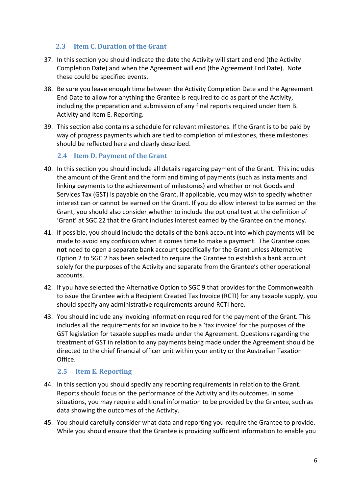## **2.3 Item C. Duration of the Grant**

- 37. In this section you should indicate the date the Activity will start and end (the Activity Completion Date) and when the Agreement will end (the Agreement End Date). Note these could be specified events.
- 38. Be sure you leave enough time between the Activity Completion Date and the Agreement End Date to allow for anything the Grantee is required to do as part of the Activity, including the preparation and submission of any final reports required under Item B. Activity and Item E. Reporting.
- 39. This section also contains a schedule for relevant milestones. If the Grant is to be paid by way of progress payments which are tied to completion of milestones, these milestones should be reflected here and clearly described.

#### **2.4 Item D. Payment of the Grant**

- 40. In this section you should include all details regarding payment of the Grant. This includes the amount of the Grant and the form and timing of payments (such as instalments and linking payments to the achievement of milestones) and whether or not Goods and Services Tax (GST) is payable on the Grant. If applicable, you may wish to specify whether interest can or cannot be earned on the Grant. If you do allow interest to be earned on the Grant, you should also consider whether to include the optional text at the definition of 'Grant' at SGC 22 that the Grant includes interest earned by the Grantee on the money.
- 41. If possible, you should include the details of the bank account into which payments will be made to avoid any confusion when it comes time to make a payment. The Grantee does **not** need to open a separate bank account specifically for the Grant unless Alternative Option 2 to SGC 2 has been selected to require the Grantee to establish a bank account solely for the purposes of the Activity and separate from the Grantee's other operational accounts.
- 42. If you have selected the Alternative Option to SGC 9 that provides for the Commonwealth to issue the Grantee with a Recipient Created Tax Invoice (RCTI) for any taxable supply, you should specify any administrative requirements around RCTI here.
- 43. You should include any invoicing information required for the payment of the Grant. This includes all the requirements for an invoice to be a 'tax invoice' for the purposes of the GST legislation for taxable supplies made under the Agreement. Questions regarding the treatment of GST in relation to any payments being made under the Agreement should be directed to the chief financial officer unit within your entity or the Australian Taxation Office.

# **2.5 Item E. Reporting**

- 44. In this section you should specify any reporting requirements in relation to the Grant. Reports should focus on the performance of the Activity and its outcomes. In some situations, you may require additional information to be provided by the Grantee, such as data showing the outcomes of the Activity.
- 45. You should carefully consider what data and reporting you require the Grantee to provide. While you should ensure that the Grantee is providing sufficient information to enable you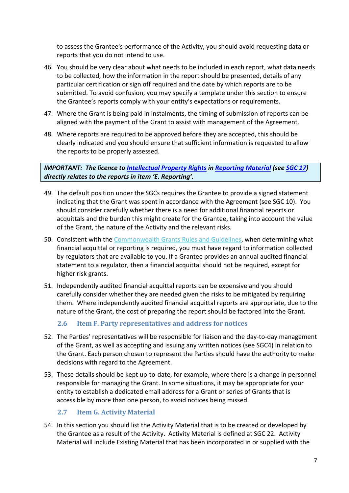to assess the Grantee's performance of the Activity, you should avoid requesting data or reports that you do not intend to use.

- 46. You should be very clear about what needs to be included in each report, what data needs to be collected, how the information in the report should be presented, details of any particular certification or sign off required and the date by which reports are to be submitted. To avoid confusion, you may specify a template under this section to ensure the Grantee's reports comply with your entity's expectations or requirements.
- 47. Where the Grant is being paid in instalments, the timing of submission of reports can be aligned with the payment of the Grant to assist with management of the Agreement.
- 48. Where reports are required to be approved before they are accepted, this should be clearly indicated and you should ensure that sufficient information is requested to allow the reports to be properly assessed.

*IMPORTANT: The licence to Intellectual Property Rights in Reporting Material (see SGC 17) directly relates to the reports in item 'E. Reporting'.* 

- 49. The default position under the SGCs requires the Grantee to provide a signed statement indicating that the Grant was spent in accordance with the Agreement (see SGC 10). You should consider carefully whether there is a need for additional financial reports or acquittals and the burden this might create for the Grantee, taking into account the value of the Grant, the nature of the Activity and the relevant risks.
- 50. Consistent with the Commonwealth Grants Rules and Guidelines, when determining what financial acquittal or reporting is required, you must have regard to information collected by regulators that are available to you. If a Grantee provides an annual audited financial statement to a regulator, then a financial acquittal should not be required, except for higher risk grants.
- 51. Independently audited financial acquittal reports can be expensive and you should carefully consider whether they are needed given the risks to be mitigated by requiring them. Where independently audited financial acquittal reports are appropriate, due to the nature of the Grant, the cost of preparing the report should be factored into the Grant.

# **2.6 Item F. Party representatives and address for notices**

- 52. The Parties' representatives will be responsible for liaison and the day‐to‐day management of the Grant, as well as accepting and issuing any written notices (see SGC4) in relation to the Grant. Each person chosen to represent the Parties should have the authority to make decisions with regard to the Agreement.
- 53. These details should be kept up-to-date, for example, where there is a change in personnel responsible for managing the Grant. In some situations, it may be appropriate for your entity to establish a dedicated email address for a Grant or series of Grants that is accessible by more than one person, to avoid notices being missed.

# **2.7 Item G. Activity Material**

54. In this section you should list the Activity Material that is to be created or developed by the Grantee as a result of the Activity. Activity Material is defined at SGC 22. Activity Material will include Existing Material that has been incorporated in or supplied with the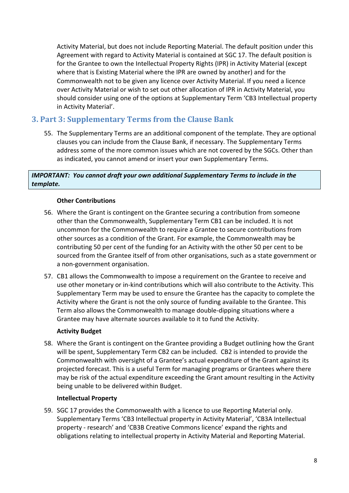Activity Material, but does not include Reporting Material. The default position under this Agreement with regard to Activity Material is contained at SGC 17. The default position is for the Grantee to own the Intellectual Property Rights (IPR) in Activity Material (except where that is Existing Material where the IPR are owned by another) and for the Commonwealth not to be given any licence over Activity Material. If you need a licence over Activity Material or wish to set out other allocation of IPR in Activity Material, you should consider using one of the options at Supplementary Term 'CB3 Intellectual property in Activity Material'.

# **3. Part 3: Supplementary Terms from the Clause Bank**

55. The Supplementary Terms are an additional component of the template. They are optional clauses you can include from the Clause Bank, if necessary. The Supplementary Terms address some of the more common issues which are not covered by the SGCs. Other than as indicated, you cannot amend or insert your own Supplementary Terms.

#### *IMPORTANT: You cannot draft your own additional Supplementary Terms to include in the template.*

## **Other Contributions**

- 56. Where the Grant is contingent on the Grantee securing a contribution from someone other than the Commonwealth, Supplementary Term CB1 can be included. It is not uncommon for the Commonwealth to require a Grantee to secure contributions from other sources as a condition of the Grant. For example, the Commonwealth may be contributing 50 per cent of the funding for an Activity with the other 50 per cent to be sourced from the Grantee itself of from other organisations, such as a state government or a non‐government organisation.
- 57. CB1 allows the Commonwealth to impose a requirement on the Grantee to receive and use other monetary or in‐kind contributions which will also contribute to the Activity. This Supplementary Term may be used to ensure the Grantee has the capacity to complete the Activity where the Grant is not the only source of funding available to the Grantee. This Term also allows the Commonwealth to manage double‐dipping situations where a Grantee may have alternate sources available to it to fund the Activity.

#### **Activity Budget**

58. Where the Grant is contingent on the Grantee providing a Budget outlining how the Grant will be spent, Supplementary Term CB2 can be included. CB2 is intended to provide the Commonwealth with oversight of a Grantee's actual expenditure of the Grant against its projected forecast. This is a useful Term for managing programs or Grantees where there may be risk of the actual expenditure exceeding the Grant amount resulting in the Activity being unable to be delivered within Budget.

#### **Intellectual Property**

59. SGC 17 provides the Commonwealth with a licence to use Reporting Material only. Supplementary Terms 'CB3 Intellectual property in Activity Material', 'CB3A Intellectual property ‐ research' and 'CB3B Creative Commons licence' expand the rights and obligations relating to intellectual property in Activity Material and Reporting Material.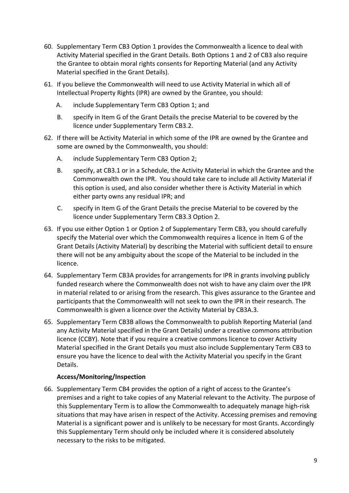- 60. Supplementary Term CB3 Option 1 provides the Commonwealth a licence to deal with Activity Material specified in the Grant Details. Both Options 1 and 2 of CB3 also require the Grantee to obtain moral rights consents for Reporting Material (and any Activity Material specified in the Grant Details).
- 61. If you believe the Commonwealth will need to use Activity Material in which all of Intellectual Property Rights (IPR) are owned by the Grantee, you should:
	- A. include Supplementary Term CB3 Option 1; and
	- B. specify in Item G of the Grant Details the precise Material to be covered by the licence under Supplementary Term CB3.2.
- 62. If there will be Activity Material in which some of the IPR are owned by the Grantee and some are owned by the Commonwealth, you should:
	- A. include Supplementary Term CB3 Option 2;
	- B. specify, at CB3.1 or in a Schedule, the Activity Material in which the Grantee and the Commonwealth own the IPR. You should take care to include all Activity Material if this option is used, and also consider whether there is Activity Material in which either party owns any residual IPR; and
	- C. specify in Item G of the Grant Details the precise Material to be covered by the licence under Supplementary Term CB3.3 Option 2.
- 63. If you use either Option 1 or Option 2 of Supplementary Term CB3, you should carefully specify the Material over which the Commonwealth requires a licence in Item G of the Grant Details (Activity Material) by describing the Material with sufficient detail to ensure there will not be any ambiguity about the scope of the Material to be included in the licence.
- 64. Supplementary Term CB3A provides for arrangements for IPR in grants involving publicly funded research where the Commonwealth does not wish to have any claim over the IPR in material related to or arising from the research. This gives assurance to the Grantee and participants that the Commonwealth will not seek to own the IPR in their research. The Commonwealth is given a licence over the Activity Material by CB3A.3.
- 65. Supplementary Term CB3B allows the Commonwealth to publish Reporting Material (and any Activity Material specified in the Grant Details) under a creative commons attribution licence (CCBY). Note that if you require a creative commons licence to cover Activity Material specified in the Grant Details you must also include Supplementary Term CB3 to ensure you have the licence to deal with the Activity Material you specify in the Grant Details.

#### **Access/Monitoring/Inspection**

66. Supplementary Term CB4 provides the option of a right of access to the Grantee's premises and a right to take copies of any Material relevant to the Activity. The purpose of this Supplementary Term is to allow the Commonwealth to adequately manage high‐risk situations that may have arisen in respect of the Activity. Accessing premises and removing Material is a significant power and is unlikely to be necessary for most Grants. Accordingly this Supplementary Term should only be included where it is considered absolutely necessary to the risks to be mitigated.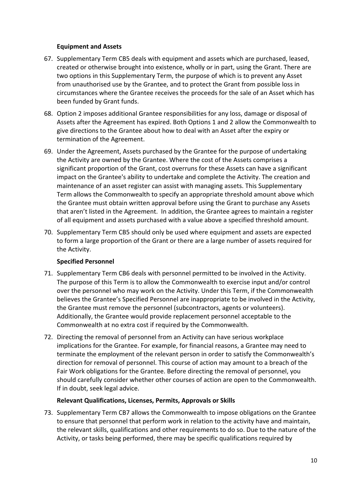#### **Equipment and Assets**

- 67. Supplementary Term CB5 deals with equipment and assets which are purchased, leased, created or otherwise brought into existence, wholly or in part, using the Grant. There are two options in this Supplementary Term, the purpose of which is to prevent any Asset from unauthorised use by the Grantee, and to protect the Grant from possible loss in circumstances where the Grantee receives the proceeds for the sale of an Asset which has been funded by Grant funds.
- 68. Option 2 imposes additional Grantee responsibilities for any loss, damage or disposal of Assets after the Agreement has expired. Both Options 1 and 2 allow the Commonwealth to give directions to the Grantee about how to deal with an Asset after the expiry or termination of the Agreement.
- 69. Under the Agreement, Assets purchased by the Grantee for the purpose of undertaking the Activity are owned by the Grantee. Where the cost of the Assets comprises a significant proportion of the Grant, cost overruns for these Assets can have a significant impact on the Grantee's ability to undertake and complete the Activity. The creation and maintenance of an asset register can assist with managing assets. This Supplementary Term allows the Commonwealth to specify an appropriate threshold amount above which the Grantee must obtain written approval before using the Grant to purchase any Assets that aren't listed in the Agreement. In addition, the Grantee agrees to maintain a register of all equipment and assets purchased with a value above a specified threshold amount.
- 70. Supplementary Term CB5 should only be used where equipment and assets are expected to form a large proportion of the Grant or there are a large number of assets required for the Activity.

#### **Specified Personnel**

- 71. Supplementary Term CB6 deals with personnel permitted to be involved in the Activity. The purpose of this Term is to allow the Commonwealth to exercise input and/or control over the personnel who may work on the Activity. Under this Term, if the Commonwealth believes the Grantee's Specified Personnel are inappropriate to be involved in the Activity, the Grantee must remove the personnel (subcontractors, agents or volunteers). Additionally, the Grantee would provide replacement personnel acceptable to the Commonwealth at no extra cost if required by the Commonwealth.
- 72. Directing the removal of personnel from an Activity can have serious workplace implications for the Grantee. For example, for financial reasons, a Grantee may need to terminate the employment of the relevant person in order to satisfy the Commonwealth's direction for removal of personnel. This course of action may amount to a breach of the Fair Work obligations for the Grantee. Before directing the removal of personnel, you should carefully consider whether other courses of action are open to the Commonwealth. If in doubt, seek legal advice.

#### **Relevant Qualifications, Licenses, Permits, Approvals or Skills**

73. Supplementary Term CB7 allows the Commonwealth to impose obligations on the Grantee to ensure that personnel that perform work in relation to the activity have and maintain, the relevant skills, qualifications and other requirements to do so. Due to the nature of the Activity, or tasks being performed, there may be specific qualifications required by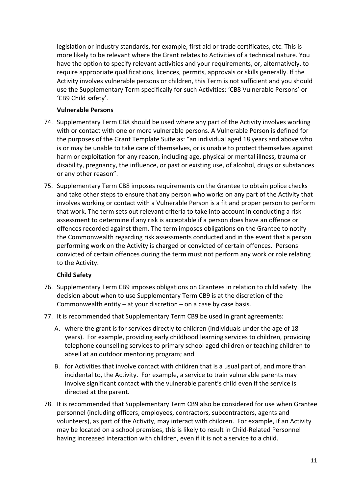legislation or industry standards, for example, first aid or trade certificates, etc. This is more likely to be relevant where the Grant relates to Activities of a technical nature. You have the option to specify relevant activities and your requirements, or, alternatively, to require appropriate qualifications, licences, permits, approvals or skills generally. If the Activity involves vulnerable persons or children, this Term is not sufficient and you should use the Supplementary Term specifically for such Activities: 'CB8 Vulnerable Persons' or 'CB9 Child safety'.

#### **Vulnerable Persons**

- 74. Supplementary Term CB8 should be used where any part of the Activity involves working with or contact with one or more vulnerable persons. A Vulnerable Person is defined for the purposes of the Grant Template Suite as: "an individual aged 18 years and above who is or may be unable to take care of themselves, or is unable to protect themselves against harm or exploitation for any reason, including age, physical or mental illness, trauma or disability, pregnancy, the influence, or past or existing use, of alcohol, drugs or substances or any other reason".
- 75. Supplementary Term CB8 imposes requirements on the Grantee to obtain police checks and take other steps to ensure that any person who works on any part of the Activity that involves working or contact with a Vulnerable Person is a fit and proper person to perform that work. The term sets out relevant criteria to take into account in conducting a risk assessment to determine if any risk is acceptable if a person does have an offence or offences recorded against them. The term imposes obligations on the Grantee to notify the Commonwealth regarding risk assessments conducted and in the event that a person performing work on the Activity is charged or convicted of certain offences. Persons convicted of certain offences during the term must not perform any work or role relating to the Activity.

# **Child Safety**

- 76. Supplementary Term CB9 imposes obligations on Grantees in relation to child safety. The decision about when to use Supplementary Term CB9 is at the discretion of the Commonwealth entity  $-$  at your discretion  $-$  on a case by case basis.
- 77. It is recommended that Supplementary Term CB9 be used in grant agreements:
	- A. where the grant is for services directly to children (individuals under the age of 18 years). For example, providing early childhood learning services to children, providing telephone counselling services to primary school aged children or teaching children to abseil at an outdoor mentoring program; and
	- B. for Activities that involve contact with children that is a usual part of, and more than incidental to, the Activity. For example, a service to train vulnerable parents may involve significant contact with the vulnerable parent's child even if the service is directed at the parent.
- 78. It is recommended that Supplementary Term CB9 also be considered for use when Grantee personnel (including officers, employees, contractors, subcontractors, agents and volunteers), as part of the Activity, may interact with children. For example, if an Activity may be located on a school premises, this is likely to result in Child‐Related Personnel having increased interaction with children, even if it is not a service to a child.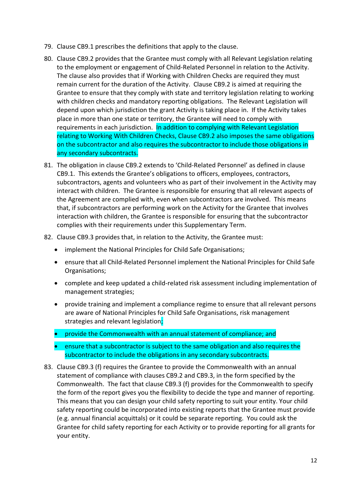- 79. Clause CB9.1 prescribes the definitions that apply to the clause.
- 80. Clause CB9.2 provides that the Grantee must comply with all Relevant Legislation relating to the employment or engagement of Child‐Related Personnel in relation to the Activity. The clause also provides that if Working with Children Checks are required they must remain current for the duration of the Activity. Clause CB9.2 is aimed at requiring the Grantee to ensure that they comply with state and territory legislation relating to working with children checks and mandatory reporting obligations. The Relevant Legislation will depend upon which jurisdiction the grant Activity is taking place in. If the Activity takes place in more than one state or territory, the Grantee will need to comply with requirements in each jurisdiction. In addition to complying with Relevant Legislation relating to Working With Children Checks, Clause CB9.2 also imposes the same obligations on the subcontractor and also requires the subcontractor to include those obligations in any secondary subcontracts.
- 81. The obligation in clause CB9.2 extends to 'Child‐Related Personnel' as defined in clause CB9.1. This extends the Grantee's obligations to officers, employees, contractors, subcontractors, agents and volunteers who as part of their involvement in the Activity may interact with children. The Grantee is responsible for ensuring that all relevant aspects of the Agreement are complied with, even when subcontractors are involved. This means that, if subcontractors are performing work on the Activity for the Grantee that involves interaction with children, the Grantee is responsible for ensuring that the subcontractor complies with their requirements under this Supplementary Term.
- 82. Clause CB9.3 provides that, in relation to the Activity, the Grantee must:
	- implement the National Principles for Child Safe Organisations;
	- ensure that all Child‐Related Personnel implement the National Principles for Child Safe Organisations;
	- complete and keep updated a child‐related risk assessment including implementation of management strategies;
	- provide training and implement a compliance regime to ensure that all relevant persons are aware of National Principles for Child Safe Organisations, risk management strategies and relevant legislation;
	- **•** provide the Commonwealth with an annual statement of compliance; and
	- ensure that a subcontractor is subject to the same obligation and also requires the subcontractor to include the obligations in any secondary subcontracts.
- 83. Clause CB9.3 (f) requires the Grantee to provide the Commonwealth with an annual statement of compliance with clauses CB9.2 and CB9.3, in the form specified by the Commonwealth. The fact that clause CB9.3 (f) provides for the Commonwealth to specify the form of the report gives you the flexibility to decide the type and manner of reporting. This means that you can design your child safety reporting to suit your entity. Your child safety reporting could be incorporated into existing reports that the Grantee must provide (e.g. annual financial acquittals) or it could be separate reporting. You could ask the Grantee for child safety reporting for each Activity or to provide reporting for all grants for your entity.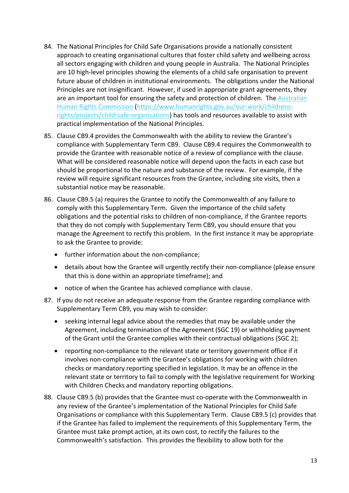- 84. The National Principles for Child Safe Organisations provide a nationally consistent approach to creating organisational cultures that foster child safety and wellbeing across all sectors engaging with children and young people in Australia. The National Principles are 10 high‐level principles showing the elements of a child safe organisation to prevent future abuse of children in institutional environments. The obligations under the National Principles are not insignificant. However, if used in appropriate grant agreements, they are an important tool for ensuring the safety and protection of children. The Australian Human Rights Commission (https://www.humanrights.gov.au/our‐work/childrens‐ rights/projects/child‐safe‐organisations) has tools and resources available to assist with practical implementation of the National Principles.
- 85. Clause CB9.4 provides the Commonwealth with the ability to review the Grantee's compliance with Supplementary Term CB9. Clause CB9.4 requires the Commonwealth to provide the Grantee with reasonable notice of a review of compliance with the clause. What will be considered reasonable notice will depend upon the facts in each case but should be proportional to the nature and substance of the review. For example, if the review will require significant resources from the Grantee, including site visits, then a substantial notice may be reasonable.
- 86. Clause CB9.5 (a) requires the Grantee to notify the Commonwealth of any failure to comply with this Supplementary Term. Given the importance of the child safety obligations and the potential risks to children of non‐compliance, if the Grantee reports that they do not comply with Supplementary Term CB9, you should ensure that you manage the Agreement to rectify this problem. In the first instance it may be appropriate to ask the Grantee to provide:
	- further information about the non-compliance:
	- details about how the Grantee will urgently rectify their non-compliance (please ensure that this is done within an appropriate timeframe); and
	- notice of when the Grantee has achieved compliance with clause.
- 87. If you do not receive an adequate response from the Grantee regarding compliance with Supplementary Term CB9, you may wish to consider:
	- seeking internal legal advice about the remedies that may be available under the Agreement, including termination of the Agreement (SGC 19) or withholding payment of the Grant until the Grantee complies with their contractual obligations (SGC 2);
	- reporting non‐compliance to the relevant state or territory government office if it involves non-compliance with the Grantee's obligations for working with children checks or mandatory reporting specified in legislation. It may be an offence in the relevant state or territory to fail to comply with the legislative requirement for Working with Children Checks and mandatory reporting obligations.
- 88. Clause CB9.5 (b) provides that the Grantee must co-operate with the Commonwealth in any review of the Grantee's implementation of the National Principles for Child Safe Organisations or compliance with this Supplementary Term. Clause CB9.5 (c) provides that if the Grantee has failed to implement the requirements of this Supplementary Term, the Grantee must take prompt action, at its own cost, to rectify the failures to the Commonwealth's satisfaction. This provides the flexibility to allow both for the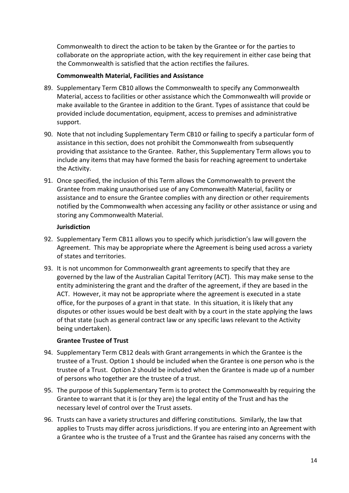Commonwealth to direct the action to be taken by the Grantee or for the parties to collaborate on the appropriate action, with the key requirement in either case being that the Commonwealth is satisfied that the action rectifies the failures.

#### **Commonwealth Material, Facilities and Assistance**

- 89. Supplementary Term CB10 allows the Commonwealth to specify any Commonwealth Material, access to facilities or other assistance which the Commonwealth will provide or make available to the Grantee in addition to the Grant. Types of assistance that could be provided include documentation, equipment, access to premises and administrative support.
- 90. Note that not including Supplementary Term CB10 or failing to specify a particular form of assistance in this section, does not prohibit the Commonwealth from subsequently providing that assistance to the Grantee. Rather, this Supplementary Term allows you to include any items that may have formed the basis for reaching agreement to undertake the Activity.
- 91. Once specified, the inclusion of this Term allows the Commonwealth to prevent the Grantee from making unauthorised use of any Commonwealth Material, facility or assistance and to ensure the Grantee complies with any direction or other requirements notified by the Commonwealth when accessing any facility or other assistance or using and storing any Commonwealth Material.

#### **Jurisdiction**

- 92. Supplementary Term CB11 allows you to specify which jurisdiction's law will govern the Agreement. This may be appropriate where the Agreement is being used across a variety of states and territories.
- 93. It is not uncommon for Commonwealth grant agreements to specify that they are governed by the law of the Australian Capital Territory (ACT). This may make sense to the entity administering the grant and the drafter of the agreement, if they are based in the ACT. However, it may not be appropriate where the agreement is executed in a state office, for the purposes of a grant in that state. In this situation, it is likely that any disputes or other issues would be best dealt with by a court in the state applying the laws of that state (such as general contract law or any specific laws relevant to the Activity being undertaken).

#### **Grantee Trustee of Trust**

- 94. Supplementary Term CB12 deals with Grant arrangements in which the Grantee is the trustee of a Trust. Option 1 should be included when the Grantee is one person who is the trustee of a Trust. Option 2 should be included when the Grantee is made up of a number of persons who together are the trustee of a trust.
- 95. The purpose of this Supplementary Term is to protect the Commonwealth by requiring the Grantee to warrant that it is (or they are) the legal entity of the Trust and has the necessary level of control over the Trust assets.
- 96. Trusts can have a variety structures and differing constitutions. Similarly, the law that applies to Trusts may differ across jurisdictions. If you are entering into an Agreement with a Grantee who is the trustee of a Trust and the Grantee has raised any concerns with the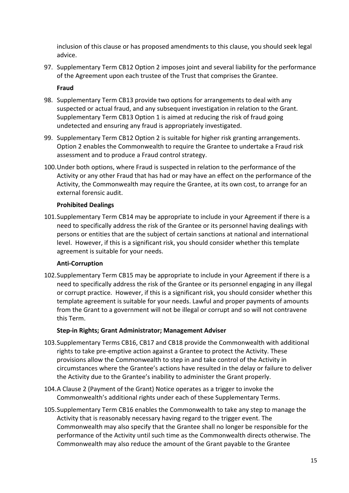inclusion of this clause or has proposed amendments to this clause, you should seek legal advice.

97. Supplementary Term CB12 Option 2 imposes joint and several liability for the performance of the Agreement upon each trustee of the Trust that comprises the Grantee.

#### **Fraud**

- 98. Supplementary Term CB13 provide two options for arrangements to deal with any suspected or actual fraud, and any subsequent investigation in relation to the Grant. Supplementary Term CB13 Option 1 is aimed at reducing the risk of fraud going undetected and ensuring any fraud is appropriately investigated.
- 99. Supplementary Term CB12 Option 2 is suitable for higher risk granting arrangements. Option 2 enables the Commonwealth to require the Grantee to undertake a Fraud risk assessment and to produce a Fraud control strategy.
- 100.Under both options, where Fraud is suspected in relation to the performance of the Activity or any other Fraud that has had or may have an effect on the performance of the Activity, the Commonwealth may require the Grantee, at its own cost, to arrange for an external forensic audit.

#### **Prohibited Dealings**

101.Supplementary Term CB14 may be appropriate to include in your Agreement if there is a need to specifically address the risk of the Grantee or its personnel having dealings with persons or entities that are the subject of certain sanctions at national and international level. However, if this is a significant risk, you should consider whether this template agreement is suitable for your needs.

#### **Anti‐Corruption**

102.Supplementary Term CB15 may be appropriate to include in your Agreement if there is a need to specifically address the risk of the Grantee or its personnel engaging in any illegal or corrupt practice. However, if this is a significant risk, you should consider whether this template agreement is suitable for your needs. Lawful and proper payments of amounts from the Grant to a government will not be illegal or corrupt and so will not contravene this Term.

#### **Step‐in Rights; Grant Administrator; Management Adviser**

- 103.Supplementary Terms CB16, CB17 and CB18 provide the Commonwealth with additional rights to take pre‐emptive action against a Grantee to protect the Activity. These provisions allow the Commonwealth to step in and take control of the Activity in circumstances where the Grantee's actions have resulted in the delay or failure to deliver the Activity due to the Grantee's inability to administer the Grant properly.
- 104.A Clause 2 (Payment of the Grant) Notice operates as a trigger to invoke the Commonwealth's additional rights under each of these Supplementary Terms.
- 105.Supplementary Term CB16 enables the Commonwealth to take any step to manage the Activity that is reasonably necessary having regard to the trigger event. The Commonwealth may also specify that the Grantee shall no longer be responsible for the performance of the Activity until such time as the Commonwealth directs otherwise. The Commonwealth may also reduce the amount of the Grant payable to the Grantee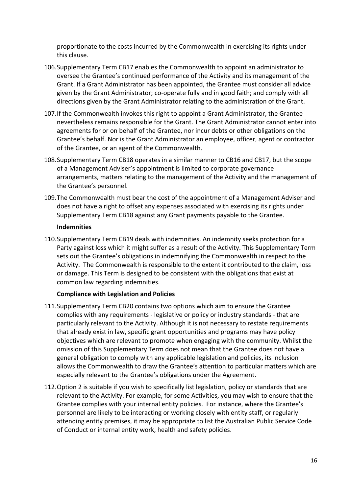proportionate to the costs incurred by the Commonwealth in exercising its rights under this clause.

- 106.Supplementary Term CB17 enables the Commonwealth to appoint an administrator to oversee the Grantee's continued performance of the Activity and its management of the Grant. If a Grant Administrator has been appointed, the Grantee must consider all advice given by the Grant Administrator; co‐operate fully and in good faith; and comply with all directions given by the Grant Administrator relating to the administration of the Grant.
- 107.If the Commonwealth invokes this right to appoint a Grant Administrator, the Grantee nevertheless remains responsible for the Grant. The Grant Administrator cannot enter into agreements for or on behalf of the Grantee, nor incur debts or other obligations on the Grantee's behalf. Nor is the Grant Administrator an employee, officer, agent or contractor of the Grantee, or an agent of the Commonwealth.
- 108.Supplementary Term CB18 operates in a similar manner to CB16 and CB17, but the scope of a Management Adviser's appointment is limited to corporate governance arrangements, matters relating to the management of the Activity and the management of the Grantee's personnel.
- 109.The Commonwealth must bear the cost of the appointment of a Management Adviser and does not have a right to offset any expenses associated with exercising its rights under Supplementary Term CB18 against any Grant payments payable to the Grantee.

#### **Indemnities**

110.Supplementary Term CB19 deals with indemnities. An indemnity seeks protection for a Party against loss which it might suffer as a result of the Activity. This Supplementary Term sets out the Grantee's obligations in indemnifying the Commonwealth in respect to the Activity. The Commonwealth is responsible to the extent it contributed to the claim, loss or damage. This Term is designed to be consistent with the obligations that exist at common law regarding indemnities.

#### **Compliance with Legislation and Policies**

- 111.Supplementary Term CB20 contains two options which aim to ensure the Grantee complies with any requirements ‐ legislative or policy or industry standards ‐ that are particularly relevant to the Activity. Although it is not necessary to restate requirements that already exist in law, specific grant opportunities and programs may have policy objectives which are relevant to promote when engaging with the community. Whilst the omission of this Supplementary Term does not mean that the Grantee does not have a general obligation to comply with any applicable legislation and policies, its inclusion allows the Commonwealth to draw the Grantee's attention to particular matters which are especially relevant to the Grantee's obligations under the Agreement.
- 112.Option 2 is suitable if you wish to specifically list legislation, policy or standards that are relevant to the Activity. For example, for some Activities, you may wish to ensure that the Grantee complies with your internal entity policies. For instance, where the Grantee's personnel are likely to be interacting or working closely with entity staff, or regularly attending entity premises, it may be appropriate to list the Australian Public Service Code of Conduct or internal entity work, health and safety policies.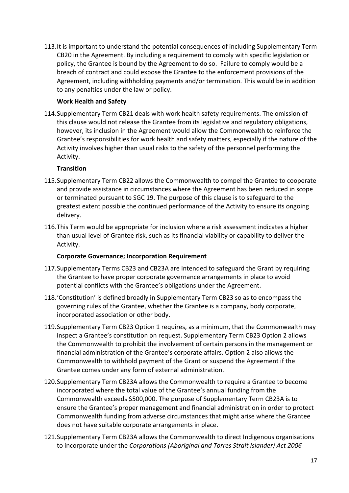113.It is important to understand the potential consequences of including Supplementary Term CB20 in the Agreement. By including a requirement to comply with specific legislation or policy, the Grantee is bound by the Agreement to do so. Failure to comply would be a breach of contract and could expose the Grantee to the enforcement provisions of the Agreement, including withholding payments and/or termination. This would be in addition to any penalties under the law or policy.

#### **Work Health and Safety**

114.Supplementary Term CB21 deals with work health safety requirements. The omission of this clause would not release the Grantee from its legislative and regulatory obligations, however, its inclusion in the Agreement would allow the Commonwealth to reinforce the Grantee's responsibilities for work health and safety matters, especially if the nature of the Activity involves higher than usual risks to the safety of the personnel performing the Activity.

## **Transition**

- 115.Supplementary Term CB22 allows the Commonwealth to compel the Grantee to cooperate and provide assistance in circumstances where the Agreement has been reduced in scope or terminated pursuant to SGC 19. The purpose of this clause is to safeguard to the greatest extent possible the continued performance of the Activity to ensure its ongoing delivery.
- 116.This Term would be appropriate for inclusion where a risk assessment indicates a higher than usual level of Grantee risk, such as its financial viability or capability to deliver the Activity.

#### **Corporate Governance; Incorporation Requirement**

- 117.Supplementary Terms CB23 and CB23A are intended to safeguard the Grant by requiring the Grantee to have proper corporate governance arrangements in place to avoid potential conflicts with the Grantee's obligations under the Agreement.
- 118.'Constitution' is defined broadly in Supplementary Term CB23 so as to encompass the governing rules of the Grantee, whether the Grantee is a company, body corporate, incorporated association or other body.
- 119.Supplementary Term CB23 Option 1 requires, as a minimum, that the Commonwealth may inspect a Grantee's constitution on request. Supplementary Term CB23 Option 2 allows the Commonwealth to prohibit the involvement of certain persons in the management or financial administration of the Grantee's corporate affairs. Option 2 also allows the Commonwealth to withhold payment of the Grant or suspend the Agreement if the Grantee comes under any form of external administration.
- 120.Supplementary Term CB23A allows the Commonwealth to require a Grantee to become incorporated where the total value of the Grantee's annual funding from the Commonwealth exceeds \$500,000. The purpose of Supplementary Term CB23A is to ensure the Grantee's proper management and financial administration in order to protect Commonwealth funding from adverse circumstances that might arise where the Grantee does not have suitable corporate arrangements in place.
- 121.Supplementary Term CB23A allows the Commonwealth to direct Indigenous organisations to incorporate under the *Corporations (Aboriginal and Torres Strait Islander) Act 2006*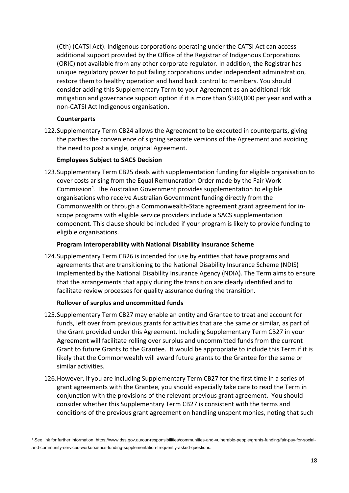(Cth) (CATSI Act). Indigenous corporations operating under the CATSI Act can access additional support provided by the Office of the Registrar of Indigenous Corporations (ORIC) not available from any other corporate regulator. In addition, the Registrar has unique regulatory power to put failing corporations under independent administration, restore them to healthy operation and hand back control to members. You should consider adding this Supplementary Term to your Agreement as an additional risk mitigation and governance support option if it is more than \$500,000 per year and with a non‐CATSI Act Indigenous organisation.

#### **Counterparts**

122.Supplementary Term CB24 allows the Agreement to be executed in counterparts, giving the parties the convenience of signing separate versions of the Agreement and avoiding the need to post a single, original Agreement.

#### **Employees Subject to SACS Decision**

123.Supplementary Term CB25 deals with supplementation funding for eligible organisation to cover costs arising from the Equal Remuneration Order made by the Fair Work Commission<sup>1</sup>. The Australian Government provides supplementation to eligible organisations who receive Australian Government funding directly from the Commonwealth or through a Commonwealth‐State agreement grant agreement for in‐ scope programs with eligible service providers include a SACS supplementation component. This clause should be included if your program is likely to provide funding to eligible organisations.

#### **Program Interoperability with National Disability Insurance Scheme**

124.Supplementary Term CB26 is intended for use by entities that have programs and agreements that are transitioning to the National Disability Insurance Scheme (NDIS) implemented by the National Disability Insurance Agency (NDIA). The Term aims to ensure that the arrangements that apply during the transition are clearly identified and to facilitate review processes for quality assurance during the transition.

#### **Rollover of surplus and uncommitted funds**

- 125.Supplementary Term CB27 may enable an entity and Grantee to treat and account for funds, left over from previous grants for activities that are the same or similar, as part of the Grant provided under this Agreement. Including Supplementary Term CB27 in your Agreement will facilitate rolling over surplus and uncommitted funds from the current Grant to future Grants to the Grantee. It would be appropriate to include this Term if it is likely that the Commonwealth will award future grants to the Grantee for the same or similar activities.
- 126.However, if you are including Supplementary Term CB27 for the first time in a series of grant agreements with the Grantee, you should especially take care to read the Term in conjunction with the provisions of the relevant previous grant agreement. You should consider whether this Supplementary Term CB27 is consistent with the terms and conditions of the previous grant agreement on handling unspent monies, noting that such

<sup>1</sup> See link for further information. https://www.dss.gov.au/our-responsibilities/communities-and-vulnerable-people/grants-funding/fair-pay-for-socialand-community-services-workers/sacs-funding-supplementation-frequently-asked-questions.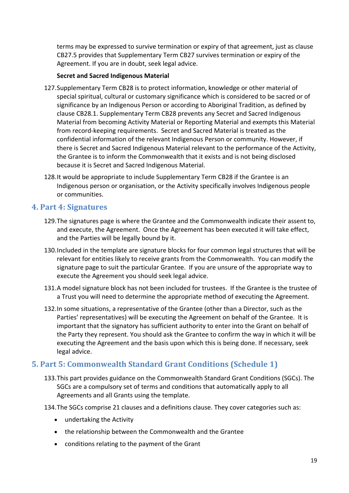terms may be expressed to survive termination or expiry of that agreement, just as clause CB27.5 provides that Supplementary Term CB27 survives termination or expiry of the Agreement. If you are in doubt, seek legal advice.

#### **Secret and Sacred Indigenous Material**

- 127.Supplementary Term CB28 is to protect information, knowledge or other material of special spiritual, cultural or customary significance which is considered to be sacred or of significance by an Indigenous Person or according to Aboriginal Tradition, as defined by clause CB28.1. Supplementary Term CB28 prevents any Secret and Sacred Indigenous Material from becoming Activity Material or Reporting Material and exempts this Material from record‐keeping requirements. Secret and Sacred Material is treated as the confidential information of the relevant Indigenous Person or community. However, if there is Secret and Sacred Indigenous Material relevant to the performance of the Activity, the Grantee is to inform the Commonwealth that it exists and is not being disclosed because it is Secret and Sacred Indigenous Material.
- 128.It would be appropriate to include Supplementary Term CB28 if the Grantee is an Indigenous person or organisation, or the Activity specifically involves Indigenous people or communities.

# **4. Part 4: Signatures**

- 129.The signatures page is where the Grantee and the Commonwealth indicate their assent to, and execute, the Agreement. Once the Agreement has been executed it will take effect, and the Parties will be legally bound by it.
- 130.Included in the template are signature blocks for four common legal structures that will be relevant for entities likely to receive grants from the Commonwealth. You can modify the signature page to suit the particular Grantee. If you are unsure of the appropriate way to execute the Agreement you should seek legal advice.
- 131.A model signature block has not been included for trustees. If the Grantee is the trustee of a Trust you will need to determine the appropriate method of executing the Agreement.
- 132.In some situations, a representative of the Grantee (other than a Director, such as the Parties' representatives) will be executing the Agreement on behalf of the Grantee. It is important that the signatory has sufficient authority to enter into the Grant on behalf of the Party they represent. You should ask the Grantee to confirm the way in which it will be executing the Agreement and the basis upon which this is being done. If necessary, seek legal advice.

# **5. Part 5: Commonwealth Standard Grant Conditions (Schedule 1)**

- 133.This part provides guidance on the Commonwealth Standard Grant Conditions (SGCs). The SGCs are a compulsory set of terms and conditions that automatically apply to all Agreements and all Grants using the template.
- 134.The SGCs comprise 21 clauses and a definitions clause. They cover categories such as:
	- undertaking the Activity
	- the relationship between the Commonwealth and the Grantee
	- conditions relating to the payment of the Grant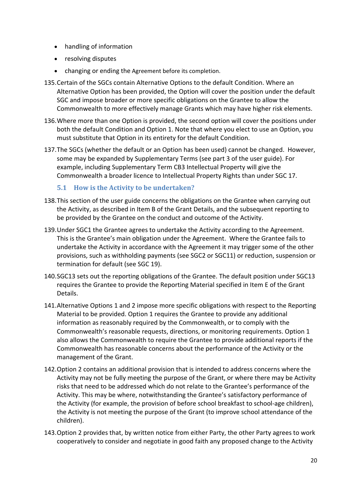- handling of information
- resolving disputes
- changing or ending the Agreement before its completion.
- 135.Certain of the SGCs contain Alternative Options to the default Condition. Where an Alternative Option has been provided, the Option will cover the position under the default SGC and impose broader or more specific obligations on the Grantee to allow the Commonwealth to more effectively manage Grants which may have higher risk elements.
- 136.Where more than one Option is provided, the second option will cover the positions under both the default Condition and Option 1. Note that where you elect to use an Option, you must substitute that Option in its entirety for the default Condition.
- 137.The SGCs (whether the default or an Option has been used) cannot be changed. However, some may be expanded by Supplementary Terms (see part 3 of the user guide). For example, including Supplementary Term CB3 Intellectual Property will give the Commonwealth a broader licence to Intellectual Property Rights than under SGC 17.

# **5.1 How is the Activity to be undertaken?**

- 138.This section of the user guide concerns the obligations on the Grantee when carrying out the Activity, as described in Item B of the Grant Details, and the subsequent reporting to be provided by the Grantee on the conduct and outcome of the Activity.
- 139.Under SGC1 the Grantee agrees to undertake the Activity according to the Agreement. This is the Grantee's main obligation under the Agreement. Where the Grantee fails to undertake the Activity in accordance with the Agreement it may trigger some of the other provisions, such as withholding payments (see SGC2 or SGC11) or reduction, suspension or termination for default (see SGC 19).
- 140.SGC13 sets out the reporting obligations of the Grantee. The default position under SGC13 requires the Grantee to provide the Reporting Material specified in Item E of the Grant Details.
- 141.Alternative Options 1 and 2 impose more specific obligations with respect to the Reporting Material to be provided. Option 1 requires the Grantee to provide any additional information as reasonably required by the Commonwealth, or to comply with the Commonwealth's reasonable requests, directions, or monitoring requirements. Option 1 also allows the Commonwealth to require the Grantee to provide additional reports if the Commonwealth has reasonable concerns about the performance of the Activity or the management of the Grant.
- 142.Option 2 contains an additional provision that is intended to address concerns where the Activity may not be fully meeting the purpose of the Grant, or where there may be Activity risks that need to be addressed which do not relate to the Grantee's performance of the Activity. This may be where, notwithstanding the Grantee's satisfactory performance of the Activity (for example, the provision of before school breakfast to school‐age children), the Activity is not meeting the purpose of the Grant (to improve school attendance of the children).
- 143.Option 2 provides that, by written notice from either Party, the other Party agrees to work cooperatively to consider and negotiate in good faith any proposed change to the Activity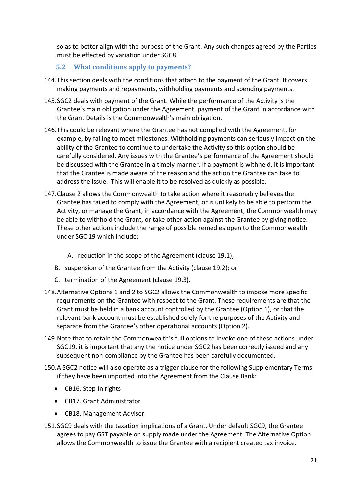so as to better align with the purpose of the Grant. Any such changes agreed by the Parties must be effected by variation under SGC8.

## **5.2 What conditions apply to payments?**

- 144.This section deals with the conditions that attach to the payment of the Grant. It covers making payments and repayments, withholding payments and spending payments.
- 145.SGC2 deals with payment of the Grant. While the performance of the Activity is the Grantee's main obligation under the Agreement, payment of the Grant in accordance with the Grant Details is the Commonwealth's main obligation.
- 146.This could be relevant where the Grantee has not complied with the Agreement, for example, by failing to meet milestones. Withholding payments can seriously impact on the ability of the Grantee to continue to undertake the Activity so this option should be carefully considered. Any issues with the Grantee's performance of the Agreement should be discussed with the Grantee in a timely manner. If a payment is withheld, it is important that the Grantee is made aware of the reason and the action the Grantee can take to address the issue. This will enable it to be resolved as quickly as possible.
- 147.Clause 2 allows the Commonwealth to take action where it reasonably believes the Grantee has failed to comply with the Agreement, or is unlikely to be able to perform the Activity, or manage the Grant, in accordance with the Agreement, the Commonwealth may be able to withhold the Grant, or take other action against the Grantee by giving notice. These other actions include the range of possible remedies open to the Commonwealth under SGC 19 which include:
	- A. reduction in the scope of the Agreement (clause 19.1);
	- B. suspension of the Grantee from the Activity (clause 19.2); or
	- C. termination of the Agreement (clause 19.3).
- 148.Alternative Options 1 and 2 to SGC2 allows the Commonwealth to impose more specific requirements on the Grantee with respect to the Grant. These requirements are that the Grant must be held in a bank account controlled by the Grantee (Option 1), or that the relevant bank account must be established solely for the purposes of the Activity and separate from the Grantee's other operational accounts (Option 2).
- 149.Note that to retain the Commonwealth's full options to invoke one of these actions under SGC19, it is important that any the notice under SGC2 has been correctly issued and any subsequent non-compliance by the Grantee has been carefully documented.
- 150.A SGC2 notice will also operate as a trigger clause for the following Supplementary Terms if they have been imported into the Agreement from the Clause Bank:
	- CB16. Step-in rights
	- CB17. Grant Administrator
	- CB18. Management Adviser
- 151.SGC9 deals with the taxation implications of a Grant. Under default SGC9, the Grantee agrees to pay GST payable on supply made under the Agreement. The Alternative Option allows the Commonwealth to issue the Grantee with a recipient created tax invoice.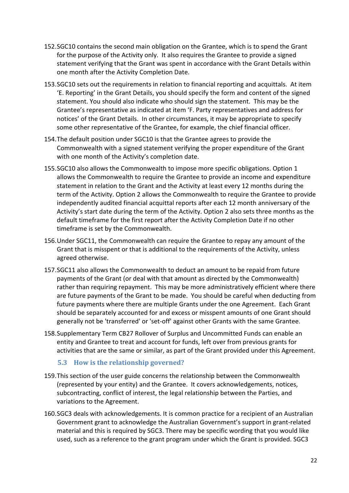- 152.SGC10 contains the second main obligation on the Grantee, which is to spend the Grant for the purpose of the Activity only. It also requires the Grantee to provide a signed statement verifying that the Grant was spent in accordance with the Grant Details within one month after the Activity Completion Date.
- 153.SGC10 sets out the requirements in relation to financial reporting and acquittals. At item 'E. Reporting' in the Grant Details, you should specify the form and content of the signed statement. You should also indicate who should sign the statement. This may be the Grantee's representative as indicated at item 'F. Party representatives and address for notices' of the Grant Details. In other circumstances, it may be appropriate to specify some other representative of the Grantee, for example, the chief financial officer.
- 154.The default position under SGC10 is that the Grantee agrees to provide the Commonwealth with a signed statement verifying the proper expenditure of the Grant with one month of the Activity's completion date.
- 155.SGC10 also allows the Commonwealth to impose more specific obligations. Option 1 allows the Commonwealth to require the Grantee to provide an income and expenditure statement in relation to the Grant and the Activity at least every 12 months during the term of the Activity. Option 2 allows the Commonwealth to require the Grantee to provide independently audited financial acquittal reports after each 12 month anniversary of the Activity's start date during the term of the Activity. Option 2 also sets three months as the default timeframe for the first report after the Activity Completion Date if no other timeframe is set by the Commonwealth.
- 156.Under SGC11, the Commonwealth can require the Grantee to repay any amount of the Grant that is misspent or that is additional to the requirements of the Activity, unless agreed otherwise.
- 157.SGC11 also allows the Commonwealth to deduct an amount to be repaid from future payments of the Grant (or deal with that amount as directed by the Commonwealth) rather than requiring repayment. This may be more administratively efficient where there are future payments of the Grant to be made. You should be careful when deducting from future payments where there are multiple Grants under the one Agreement. Each Grant should be separately accounted for and excess or misspent amounts of one Grant should generally not be 'transferred' or 'set‐off' against other Grants with the same Grantee.
- 158.Supplementary Term CB27 Rollover of Surplus and Uncommitted Funds can enable an entity and Grantee to treat and account for funds, left over from previous grants for activities that are the same or similar, as part of the Grant provided under this Agreement.

#### **5.3 How is the relationship governed?**

- 159.This section of the user guide concerns the relationship between the Commonwealth (represented by your entity) and the Grantee. It covers acknowledgements, notices, subcontracting, conflict of interest, the legal relationship between the Parties, and variations to the Agreement.
- 160.SGC3 deals with acknowledgements. It is common practice for a recipient of an Australian Government grant to acknowledge the Australian Government's support in grant‐related material and this is required by SGC3. There may be specific wording that you would like used, such as a reference to the grant program under which the Grant is provided. SGC3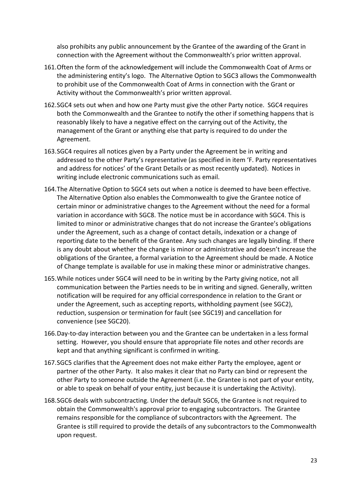also prohibits any public announcement by the Grantee of the awarding of the Grant in connection with the Agreement without the Commonwealth's prior written approval.

- 161.Often the form of the acknowledgement will include the Commonwealth Coat of Arms or the administering entity's logo. The Alternative Option to SGC3 allows the Commonwealth to prohibit use of the Commonwealth Coat of Arms in connection with the Grant or Activity without the Commonwealth's prior written approval.
- 162.SGC4 sets out when and how one Party must give the other Party notice. SGC4 requires both the Commonwealth and the Grantee to notify the other if something happens that is reasonably likely to have a negative effect on the carrying out of the Activity, the management of the Grant or anything else that party is required to do under the Agreement.
- 163.SGC4 requires all notices given by a Party under the Agreement be in writing and addressed to the other Party's representative (as specified in item 'F. Party representatives and address for notices' of the Grant Details or as most recently updated). Notices in writing include electronic communications such as email.
- 164.The Alternative Option to SGC4 sets out when a notice is deemed to have been effective. The Alternative Option also enables the Commonwealth to give the Grantee notice of certain minor or administrative changes to the Agreement without the need for a formal variation in accordance with SGC8. The notice must be in accordance with SGC4. This is limited to minor or administrative changes that do not increase the Grantee's obligations under the Agreement, such as a change of contact details, indexation or a change of reporting date to the benefit of the Grantee. Any such changes are legally binding. If there is any doubt about whether the change is minor or administrative and doesn't increase the obligations of the Grantee, a formal variation to the Agreement should be made. A Notice of Change template is available for use in making these minor or administrative changes.
- 165.While notices under SGC4 will need to be in writing by the Party giving notice, not all communication between the Parties needs to be in writing and signed. Generally, written notification will be required for any official correspondence in relation to the Grant or under the Agreement, such as accepting reports, withholding payment (see SGC2), reduction, suspension or termination for fault (see SGC19) and cancellation for convenience (see SGC20).
- 166.Day‐to‐day interaction between you and the Grantee can be undertaken in a less formal setting. However, you should ensure that appropriate file notes and other records are kept and that anything significant is confirmed in writing.
- 167.SGC5 clarifies that the Agreement does not make either Party the employee, agent or partner of the other Party. It also makes it clear that no Party can bind or represent the other Party to someone outside the Agreement (i.e. the Grantee is not part of your entity, or able to speak on behalf of your entity, just because it is undertaking the Activity).
- 168.SGC6 deals with subcontracting. Under the default SGC6, the Grantee is not required to obtain the Commonwealth's approval prior to engaging subcontractors. The Grantee remains responsible for the compliance of subcontractors with the Agreement. The Grantee is still required to provide the details of any subcontractors to the Commonwealth upon request.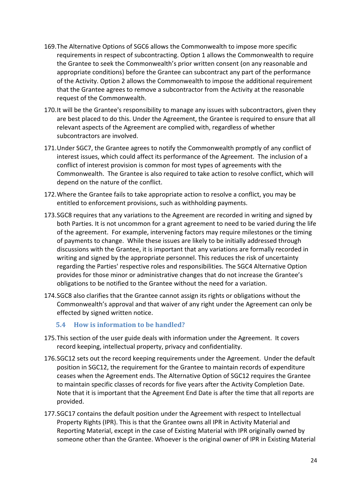- 169.The Alternative Options of SGC6 allows the Commonwealth to impose more specific requirements in respect of subcontracting. Option 1 allows the Commonwealth to require the Grantee to seek the Commonwealth's prior written consent (on any reasonable and appropriate conditions) before the Grantee can subcontract any part of the performance of the Activity. Option 2 allows the Commonwealth to impose the additional requirement that the Grantee agrees to remove a subcontractor from the Activity at the reasonable request of the Commonwealth.
- 170.It will be the Grantee's responsibility to manage any issues with subcontractors, given they are best placed to do this. Under the Agreement, the Grantee is required to ensure that all relevant aspects of the Agreement are complied with, regardless of whether subcontractors are involved.
- 171.Under SGC7, the Grantee agrees to notify the Commonwealth promptly of any conflict of interest issues, which could affect its performance of the Agreement. The inclusion of a conflict of interest provision is common for most types of agreements with the Commonwealth. The Grantee is also required to take action to resolve conflict, which will depend on the nature of the conflict.
- 172.Where the Grantee fails to take appropriate action to resolve a conflict, you may be entitled to enforcement provisions, such as withholding payments.
- 173.SGC8 requires that any variations to the Agreement are recorded in writing and signed by both Parties. It is not uncommon for a grant agreement to need to be varied during the life of the agreement. For example, intervening factors may require milestones or the timing of payments to change. While these issues are likely to be initially addressed through discussions with the Grantee, it is important that any variations are formally recorded in writing and signed by the appropriate personnel. This reduces the risk of uncertainty regarding the Parties' respective roles and responsibilities. The SGC4 Alternative Option provides for those minor or administrative changes that do not increase the Grantee's obligations to be notified to the Grantee without the need for a variation.
- 174.SGC8 also clarifies that the Grantee cannot assign its rights or obligations without the Commonwealth's approval and that waiver of any right under the Agreement can only be effected by signed written notice.

#### **5.4 How is information to be handled?**

- 175.This section of the user guide deals with information under the Agreement. It covers record keeping, intellectual property, privacy and confidentiality.
- 176.SGC12 sets out the record keeping requirements under the Agreement. Under the default position in SGC12, the requirement for the Grantee to maintain records of expenditure ceases when the Agreement ends. The Alternative Option of SGC12 requires the Grantee to maintain specific classes of records for five years after the Activity Completion Date. Note that it is important that the Agreement End Date is after the time that all reports are provided.
- 177.SGC17 contains the default position under the Agreement with respect to Intellectual Property Rights (IPR). This is that the Grantee owns all IPR in Activity Material and Reporting Material, except in the case of Existing Material with IPR originally owned by someone other than the Grantee. Whoever is the original owner of IPR in Existing Material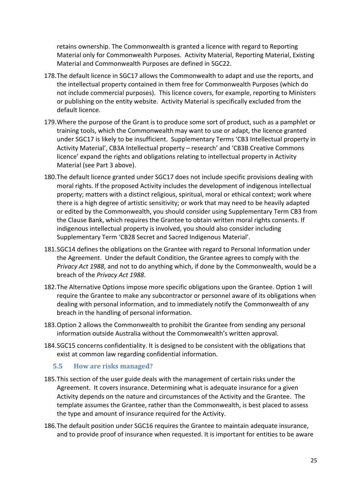retains ownership. The Commonwealth is granted a licence with regard to Reporting Material only for Commonwealth Purposes. Activity Material, Reporting Material, Existing Material and Commonwealth Purposes are defined in SGC22.

- 178.The default licence in SGC17 allows the Commonwealth to adapt and use the reports, and the intellectual property contained in them free for Commonwealth Purposes (which do not include commercial purposes). This licence covers, for example, reporting to Ministers or publishing on the entity website. Activity Material is specifically excluded from the default licence.
- 179.Where the purpose of the Grant is to produce some sort of product, such as a pamphlet or training tools, which the Commonwealth may want to use or adapt, the licence granted under SGC17 is likely to be insufficient. Supplementary Terms 'CB3 Intellectual property in Activity Material', CB3A Intellectual property – research' and 'CB3B Creative Commons licence' expand the rights and obligations relating to intellectual property in Activity Material (see Part 3 above).
- 180.The default licence granted under SGC17 does not include specific provisions dealing with moral rights. If the proposed Activity includes the development of indigenous intellectual property; matters with a distinct religious, spiritual, moral or ethical context; work where there is a high degree of artistic sensitivity; or work that may need to be heavily adapted or edited by the Commonwealth, you should consider using Supplementary Term CB3 from the Clause Bank, which requires the Grantee to obtain written moral rights consents. If indigenous intellectual property is involved, you should also consider including Supplementary Term 'CB28 Secret and Sacred Indigenous Material'.
- 181.SGC14 defines the obligations on the Grantee with regard to Personal Information under the Agreement. Under the default Condition, the Grantee agrees to comply with the *Privacy Act 1988*, and not to do anything which, if done by the Commonwealth, would be a breach of the *Privacy Act 1988*.
- 182.The Alternative Options impose more specific obligations upon the Grantee. Option 1 will require the Grantee to make any subcontractor or personnel aware of its obligations when dealing with personal information, and to immediately notify the Commonwealth of any breach in the handling of personal information.
- 183.Option 2 allows the Commonwealth to prohibit the Grantee from sending any personal information outside Australia without the Commonwealth's written approval.
- 184.SGC15 concerns confidentiality. It is designed to be consistent with the obligations that exist at common law regarding confidential information.

#### **5.5 How are risks managed?**

- 185.This section of the user guide deals with the management of certain risks under the Agreement. It covers insurance. Determining what is adequate insurance for a given Activity depends on the nature and circumstances of the Activity and the Grantee. The template assumes the Grantee, rather than the Commonwealth, is best placed to assess the type and amount of insurance required for the Activity.
- 186.The default position under SGC16 requires the Grantee to maintain adequate insurance, and to provide proof of insurance when requested. It is important for entities to be aware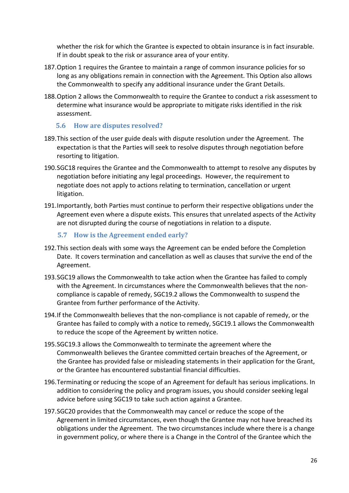whether the risk for which the Grantee is expected to obtain insurance is in fact insurable. If in doubt speak to the risk or assurance area of your entity.

- 187.Option 1 requires the Grantee to maintain a range of common insurance policies for so long as any obligations remain in connection with the Agreement. This Option also allows the Commonwealth to specify any additional insurance under the Grant Details.
- 188.Option 2 allows the Commonwealth to require the Grantee to conduct a risk assessment to determine what insurance would be appropriate to mitigate risks identified in the risk assessment.

#### **5.6 How are disputes resolved?**

- 189.This section of the user guide deals with dispute resolution under the Agreement. The expectation is that the Parties will seek to resolve disputes through negotiation before resorting to litigation.
- 190.SGC18 requires the Grantee and the Commonwealth to attempt to resolve any disputes by negotiation before initiating any legal proceedings. However, the requirement to negotiate does not apply to actions relating to termination, cancellation or urgent litigation.
- 191.Importantly, both Parties must continue to perform their respective obligations under the Agreement even where a dispute exists. This ensures that unrelated aspects of the Activity are not disrupted during the course of negotiations in relation to a dispute.

#### **5.7 How is the Agreement ended early?**

- 192.This section deals with some ways the Agreement can be ended before the Completion Date. It covers termination and cancellation as well as clauses that survive the end of the Agreement.
- 193.SGC19 allows the Commonwealth to take action when the Grantee has failed to comply with the Agreement. In circumstances where the Commonwealth believes that the non‐ compliance is capable of remedy, SGC19.2 allows the Commonwealth to suspend the Grantee from further performance of the Activity.
- 194.If the Commonwealth believes that the non‐compliance is not capable of remedy, or the Grantee has failed to comply with a notice to remedy, SGC19.1 allows the Commonwealth to reduce the scope of the Agreement by written notice.
- 195.SGC19.3 allows the Commonwealth to terminate the agreement where the Commonwealth believes the Grantee committed certain breaches of the Agreement, or the Grantee has provided false or misleading statements in their application for the Grant, or the Grantee has encountered substantial financial difficulties.
- 196.Terminating or reducing the scope of an Agreement for default has serious implications. In addition to considering the policy and program issues, you should consider seeking legal advice before using SGC19 to take such action against a Grantee.
- 197.SGC20 provides that the Commonwealth may cancel or reduce the scope of the Agreement in limited circumstances, even though the Grantee may not have breached its obligations under the Agreement. The two circumstances include where there is a change in government policy, or where there is a Change in the Control of the Grantee which the